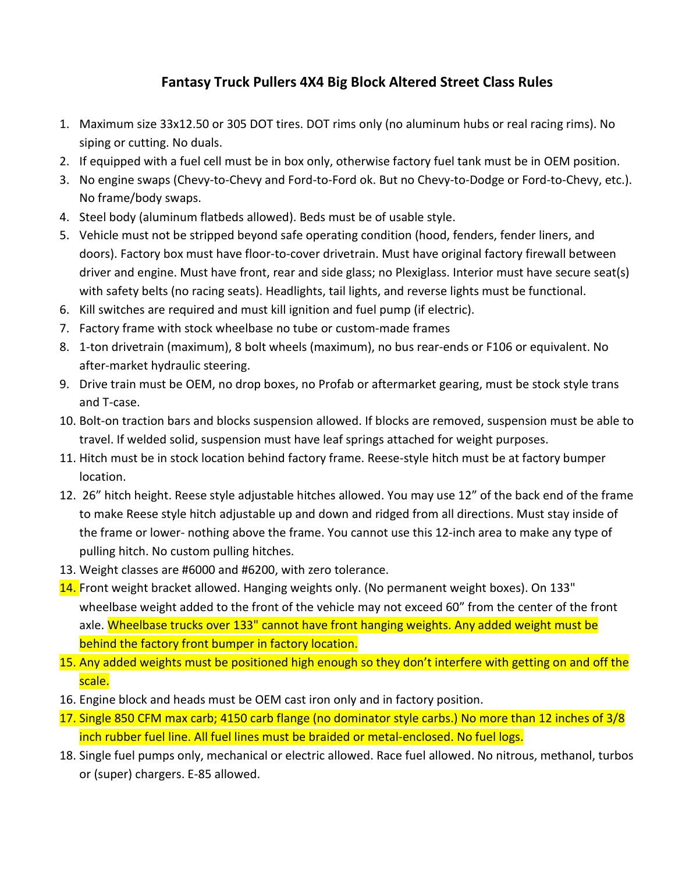## **Fantasy Truck Pullers 4X4 Big Block Altered Street Class Rules**

- 1. Maximum size 33x12.50 or 305 DOT tires. DOT rims only (no aluminum hubs or real racing rims). No siping or cutting. No duals.
- 2. If equipped with a fuel cell must be in box only, otherwise factory fuel tank must be in OEM position.
- 3. No engine swaps (Chevy-to-Chevy and Ford-to-Ford ok. But no Chevy-to-Dodge or Ford-to-Chevy, etc.). No frame/body swaps.
- 4. Steel body (aluminum flatbeds allowed). Beds must be of usable style.
- 5. Vehicle must not be stripped beyond safe operating condition (hood, fenders, fender liners, and doors). Factory box must have floor-to-cover drivetrain. Must have original factory firewall between driver and engine. Must have front, rear and side glass; no Plexiglass. Interior must have secure seat(s) with safety belts (no racing seats). Headlights, tail lights, and reverse lights must be functional.
- 6. Kill switches are required and must kill ignition and fuel pump (if electric).
- 7. Factory frame with stock wheelbase no tube or custom-made frames
- 8. 1-ton drivetrain (maximum), 8 bolt wheels (maximum), no bus rear-ends or F106 or equivalent. No after-market hydraulic steering.
- 9. Drive train must be OEM, no drop boxes, no Profab or aftermarket gearing, must be stock style trans and T-case.
- 10. Bolt-on traction bars and blocks suspension allowed. If blocks are removed, suspension must be able to travel. If welded solid, suspension must have leaf springs attached for weight purposes.
- 11. Hitch must be in stock location behind factory frame. Reese-style hitch must be at factory bumper location.
- 12. 26" hitch height. Reese style adjustable hitches allowed. You may use 12" of the back end of the frame to make Reese style hitch adjustable up and down and ridged from all directions. Must stay inside of the frame or lower- nothing above the frame. You cannot use this 12-inch area to make any type of pulling hitch. No custom pulling hitches.
- 13. Weight classes are #6000 and #6200, with zero tolerance.
- 14. Front weight bracket allowed. Hanging weights only. (No permanent weight boxes). On 133" wheelbase weight added to the front of the vehicle may not exceed 60" from the center of the front axle. Wheelbase trucks over 133" cannot have front hanging weights. Any added weight must be behind the factory front bumper in factory location.
- 15. Any added weights must be positioned high enough so they don't interfere with getting on and off the scale.
- 16. Engine block and heads must be OEM cast iron only and in factory position.
- 17. Single 850 CFM max carb; 4150 carb flange (no dominator style carbs.) No more than 12 inches of 3/8 inch rubber fuel line. All fuel lines must be braided or metal-enclosed. No fuel logs.
- 18. Single fuel pumps only, mechanical or electric allowed. Race fuel allowed. No nitrous, methanol, turbos or (super) chargers. E-85 allowed.